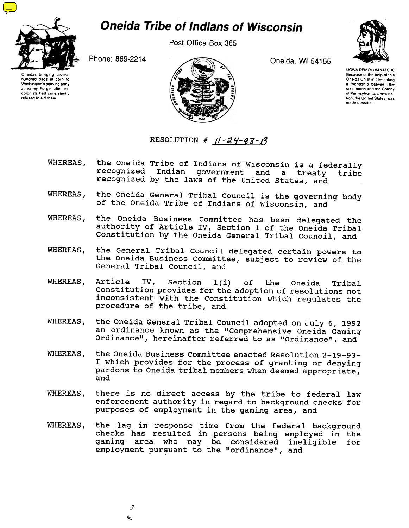

## **Oneida Tribe of Indians of Wisconsin**

Post Office Box 365



Oneidas bringing several hundred bags 01 corn to Washington's starving army at Valley Forge, after the<br>colonists had consistently refused to aid them



UGWA DEMOLUM YATEHE Because ot the help of this Oneida Chief in cementing a friendship between the six nations and the Colony of Pennsylvania, a new nation, the United States, was made possible

RESOLUTION #  $11 - 24 - 23 - 13$ 

- the Oneida Tribe of Indians of Wisconsin is a federally recognized Indian government and a treaty tribe WHEREAS, Indian government and a treaty tribe recognized by the laws of the United states, and
- the Oneida General Tribal Council is the governing body WHEREAS. of the Oneida Tribe of Indians of Wisconsin, and
- WHEREAS, the Oneida Business Committee has been delegated the authority of Article IV, Section 1 of the Oneida Tribal Constitution by the Oneida General Tribal Council, and
- WHEREAS, the General Tribal Council delegated certain powers to the Oneida Business Committee, subject to review of the General Tribal Council, and
- Article IV, Section l(i) of the Oneida Tribal WHEREAS, Constitution provides for the adoption of resolutions not inconsistent with the Constitution which regulates the procedure of the tribe, and
- WHEREAS, the Oneida General Tribal Council adopted on July 6,1992 an ordinance known as the "Comprehensive Oneida Gaming Ordinance", hereinafter referred to as "Ordinance", and
- the Oneida Business Committee enacted Resolution 2-19-93- WHEREAS, I which provides for the process of granting or denying pardons to Oneida tribal members when deemed appropriate, and
- WHEREAS, there is no direct access by the tribe to federal law enforcement authority in regard to background checks for purposes of employment in the gaming area, and
- WHEREAS, the lag in response time from the federal backgroun checks has resulted in persons being employed in th gaming area who may be considered ineligible for employment pursuant to the "ordinance", and

--  $-1$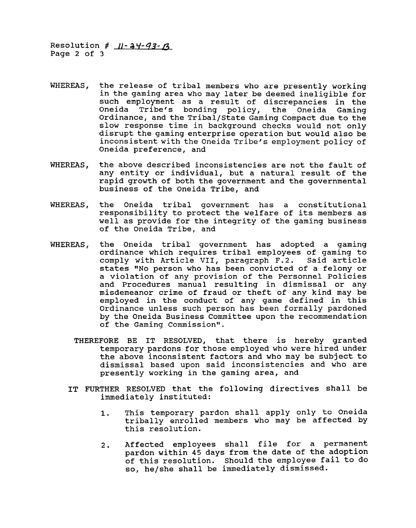Resolution # <u>11-a4-93-1</u> Page 2 of 3

- WHEREAS, the release of tribal members who are presently working in the gaming area who may later be deemed ineligible for such employment as a result of discrepancies in the Oneida Tribe's bonding policy, the Oneida Gaming Ordinance, and the Tribal/state Gaming Compact due to the slow response time in background checks would not only disrupt the gaming enterprise operation but would also be inconsistent with the Oneida Tribe's employment policy of Oneida preference, and
- the above described inconsistencies are not the fault of WHEREAS, any entity or individual, but a natural result of the rapid growth of both the government and the governmental business of the Oneida Tribe, and
- WHEREAS, the Oneida tribal government has a constitutional responsibility to protect the welfare of its members as well as provide for the integrity of the gaming business of the Oneida Tribe, and
- WHEREAS, the Oneida tribal government has adopted a gaming ordinance which requires tribal employees of gaming to comply with Article VII, paragraph F.2. Said arti states "No person who has been convicted of a felony or a violation of any provision of the Personnel Policies and Procedures manual resulting in dismissal or any misdemeanor crime of fraud or theft of any kind may be employed in the conduct of any game defined in this Ordinance unless such person has been formally pardoned by the Oneida Business Committee upon the recommendation of the Gaming commission".
	- THEREFORE BE IT RESOLVED, that there is hereby granted temporary pardons for those employed who were hired under the above inconsistent factors and who may be subject to dismissal based upon said inconsistencies and who are presently working in the gaming area, and
	- IT FURTHER RESOLVED that the following directives shall be immediately instituted:
		- This temporary pardon shall apply only to Oneida  $1.$ tribally enrolled members who may be affected by this resolution.
		- Affected employees shall file for a permanent pardon within 45 days from the date of the adoption of this resolution. Should the employee fail to do so, he/she shall be immediately dismisse 2.